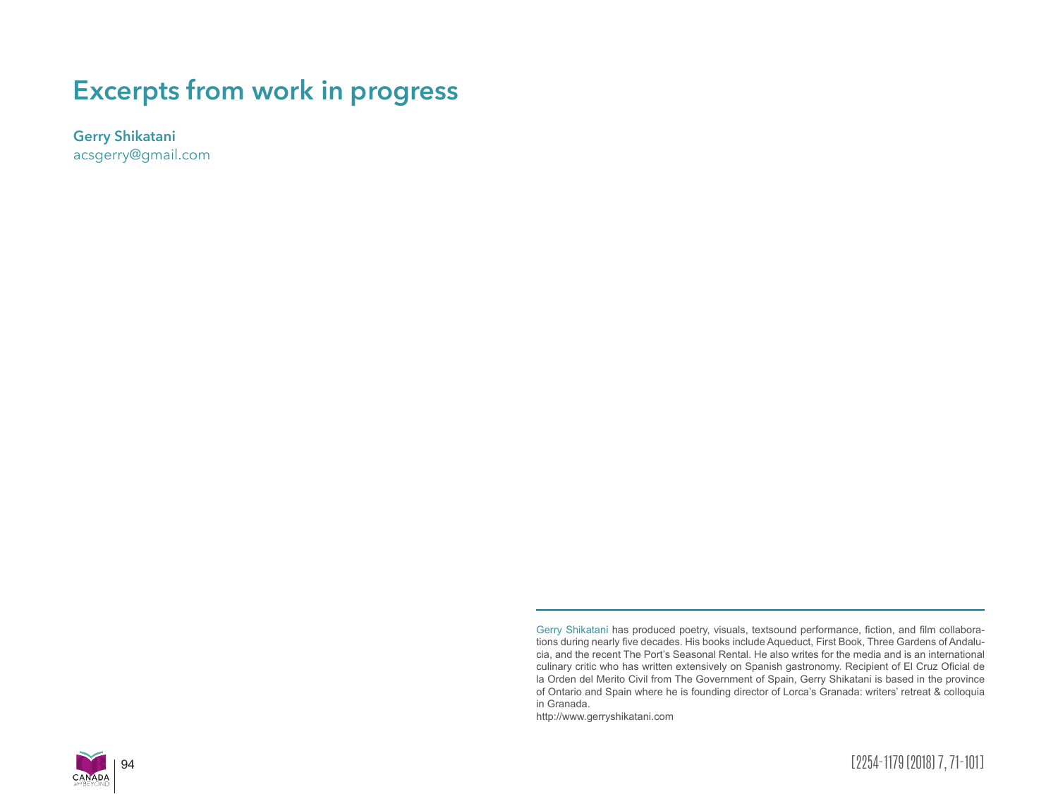# **Excerpts from work in progress**

**Gerry Shikatani**

acsgerry@gmail.com

http://www.gerryshikatani.com





Gerry Shikatani has produced poetry, visuals, textsound performance, fiction, and film collaborations during nearly five decades. His books include Aqueduct, First Book, Three Gardens of Andalucia, and the recent The Port's Seasonal Rental. He also writes for the media and is an international culinary critic who has written extensively on Spanish gastronomy. Recipient of El Cruz Oficial de la Orden del Merito Civil from The Government of Spain, Gerry Shikatani is based in the province of Ontario and Spain where he is founding director of Lorca's Granada: writers' retreat & colloquia in Granada.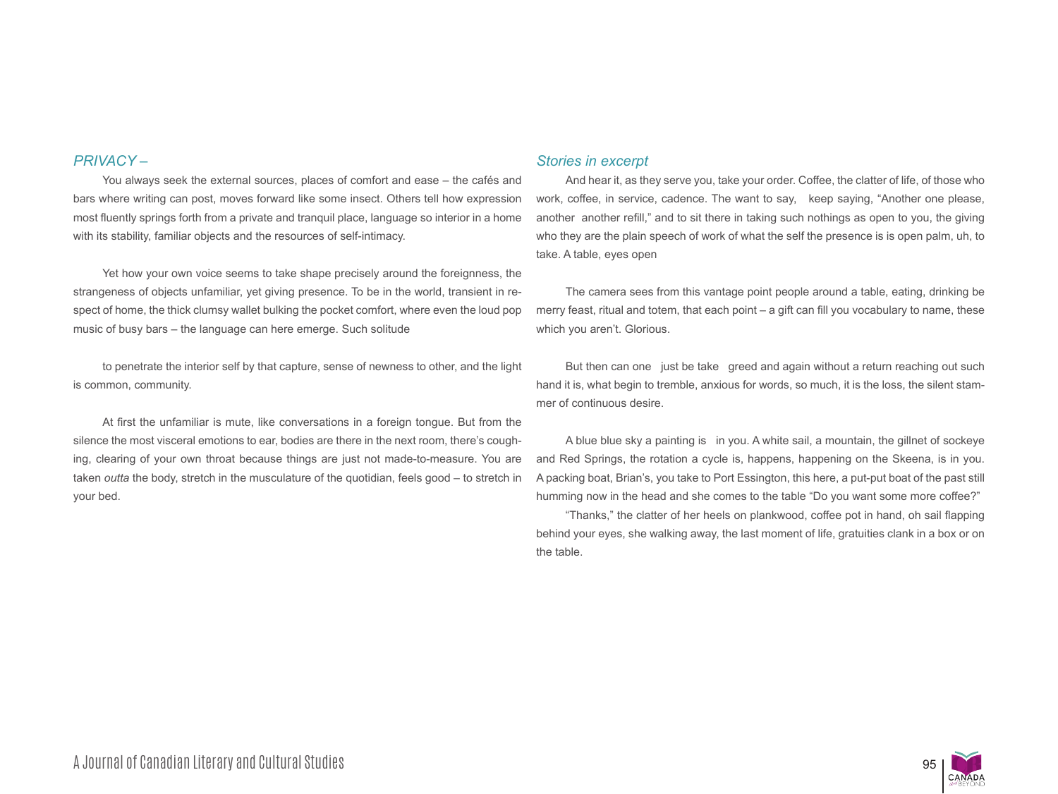## *PRIVACY –*

You always seek the external sources, places of comfort and ease – the cafés and bars where writing can post, moves forward like some insect. Others tell how expression most fluently springs forth from a private and tranquil place, language so interior in a home with its stability, familiar objects and the resources of self-intimacy.

Yet how your own voice seems to take shape precisely around the foreignness, the strangeness of objects unfamiliar, yet giving presence. To be in the world, transient in respect of home, the thick clumsy wallet bulking the pocket comfort, where even the loud pop music of busy bars – the language can here emerge. Such solitude

to penetrate the interior self by that capture, sense of newness to other, and the light is common, community.

At first the unfamiliar is mute, like conversations in a foreign tongue. But from the silence the most visceral emotions to ear, bodies are there in the next room, there's coughing, clearing of your own throat because things are just not made-to-measure. You are taken *outta* the body, stretch in the musculature of the quotidian, feels good – to stretch in your bed.

#### *Stories in excerpt*

And hear it, as they serve you, take your order. Coffee, the clatter of life, of those who work, coffee, in service, cadence. The want to say, keep saying, "Another one please, another another refill," and to sit there in taking such nothings as open to you, the giving who they are the plain speech of work of what the self the presence is is open palm, uh, to take. A table, eyes open

The camera sees from this vantage point people around a table, eating, drinking be merry feast, ritual and totem, that each point – a gift can fill you vocabulary to name, these which you aren't. Glorious.

But then can one just be take greed and again without a return reaching out such hand it is, what begin to tremble, anxious for words, so much, it is the loss, the silent stammer of continuous desire.

A blue blue sky a painting is in you. A white sail, a mountain, the gillnet of sockeye and Red Springs, the rotation a cycle is, happens, happening on the Skeena, is in you. A packing boat, Brian's, you take to Port Essington, this here, a put-put boat of the past still humming now in the head and she comes to the table "Do you want some more coffee?"

"Thanks," the clatter of her heels on plankwood, coffee pot in hand, oh sail flapping behind your eyes, she walking away, the last moment of life, gratuities clank in a box or on the table.

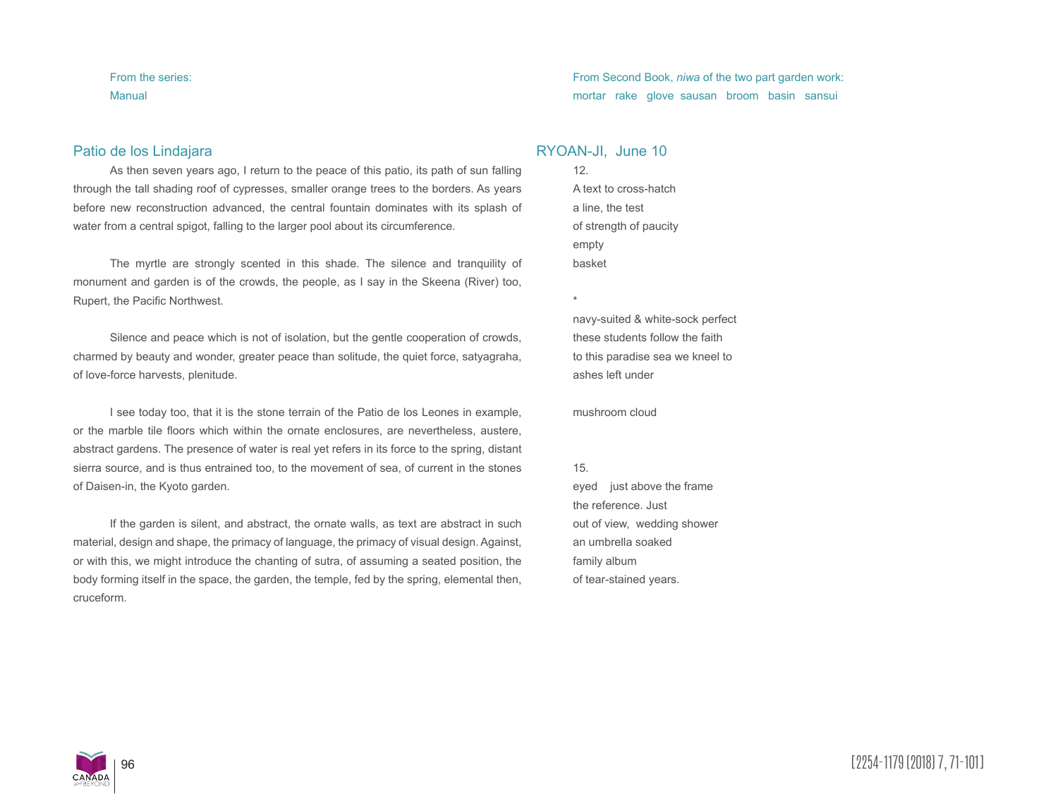From the series: Manual

## Patio de los Lindajara

As then seven years ago, I return to the peace of this patio, its path of sun falling through the tall shading roof of cypresses, smaller orange trees to the borders. As years before new reconstruction advanced, the central fountain dominates with its splash of water from a central spigot, falling to the larger pool about its circumference.

The myrtle are strongly scented in this shade. The silence and tranquility of monument and garden is of the crowds, the people, as I say in the Skeena (River) too, Rupert, the Pacific Northwest.

Silence and peace which is not of isolation, but the gentle cooperation of crowds, charmed by beauty and wonder, greater peace than solitude, the quiet force, satyagraha, of love-force harvests, plenitude.

I see today too, that it is the stone terrain of the Patio de los Leones in example, or the marble tile floors which within the ornate enclosures, are nevertheless, austere, abstract gardens. The presence of water is real yet refers in its force to the spring, distant sierra source, and is thus entrained too, to the movement of sea, of current in the stones of Daisen-in, the Kyoto garden.

If the garden is silent, and abstract, the ornate walls, as text are abstract in such material, design and shape, the primacy of language, the primacy of visual design. Against, or with this, we might introduce the chanting of sutra, of assuming a seated position, the body forming itself in the space, the garden, the temple, fed by the spring, elemental then, cruceform.

## From Second Book, *niwa* of the two part garden work: mortar rake glove sausan broom basin sansui

## RYOAN-JI, June 10

12. A text to cross-hatch a line, the test of strength of paucity empty basket

navy-suited & white-sock perfect these students follow the faith to this paradise sea we kneel to ashes left under

mushroom cloud

#### 15.

\*

eyed just above the frame the reference. Just out of view, wedding shower an umbrella soaked family album of tear-stained years.